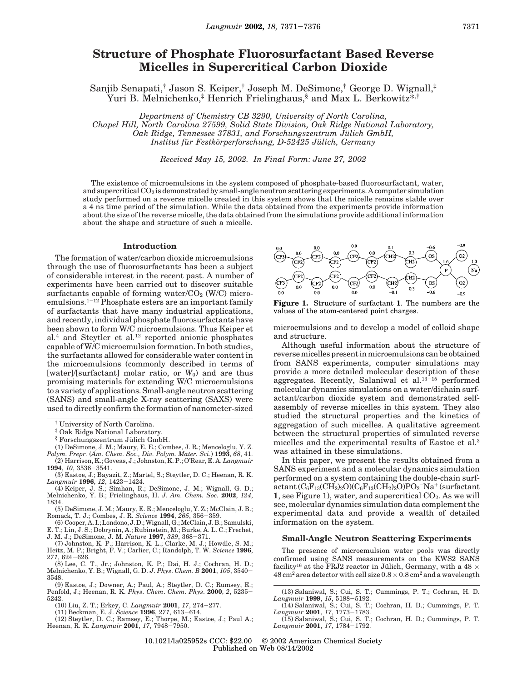# **Structure of Phosphate Fluorosurfactant Based Reverse Micelles in Supercritical Carbon Dioxide**

Sanjib Senapati,† Jason S. Keiper,† Joseph M. DeSimone,† George D. Wignall,‡ Yuri B. Melnichenko,<sup>‡</sup> Henrich Frielinghaus,<sup>§</sup> and Max L. Berkowitz<sup>\*,†</sup>

*Department of Chemistry CB 3290, University of North Carolina, Chapel Hill, North Carolina 27599, Solid State Division, Oak Ridge National Laboratory, Oak Ridge, Tennessee 37831, and Forschungszentrum Jülich GmbH, Institut fu*¨ *r Festko*¨*rperforschung, D-52425 Ju*¨*lich, Germany*

*Received May 15, 2002. In Final Form: June 27, 2002*

The existence of microemulsions in the system composed of phosphate-based fluorosurfactant, water, and supercritical  $CO_2$  is demonstrated by small-angle neutron scattering experiments. A computer simulation study performed on a reverse micelle created in this system shows that the micelle remains stable over a 4 ns time period of the simulation. While the data obtained from the experiments provide information about the size of the reverse micelle, the data obtained from the simulations provide additional information about the shape and structure of such a micelle.

### **Introduction**

The formation of water/carbon dioxide microemulsions through the use of fluorosurfactants has been a subject of considerable interest in the recent past. A number of experiments have been carried out to discover suitable surfactants capable of forming water/ $CO<sub>2</sub>$  (W/C) microemulsions.<sup>1</sup>-<sup>12</sup> Phosphate esters are an important family of surfactants that have many industrial applications, and recently, individual phosphate fluorosurfactants have been shown to form W/C microemulsions. Thus Keiper et al*.* <sup>4</sup> and Steytler et al*.* <sup>12</sup> reported anionic phosphates capable of W/C microemulsion formation. In both studies, the surfactants allowed for considerable water content in the microemulsions (commonly described in terms of [water]/[surfactant] molar ratio, or  $W_0$ ] and are thus promising materials for extending W/C microemulsions to a variety of applications. Small-angle neutron scattering (SANS) and small-angle X-ray scattering (SAXS) were used to directly confirm the formation of nanometer-sized

- $§$  Forschungszentrum Jülich GmbH.
- (1) DeSimone, J. M.; Maury, E. E.; Combes, J. R.; Menceloglu, Y. Z.
- *Polym. Prepr.* (*Am. Chem. Soc., Div. Polym. Mater. Sci*.) **1993**, *68*, 41. (2) Harrison, K.; Goveas, J.; Johnston, K. P.; O'Rear, E. A. *Langmuir*
- **1994**, *10*, 3536-3541. (3) Eastoe, J.; Bayazit, Z.; Martel, S.; Steytler, D. C.; Heenan, R. K.
- *Langmuir* **1996**, *12*, 1423-1424. (4) Keiper, J. S.; Simhan, R.; DeSimone, J. M.; Wignall, G. D.;
- Melnichenko, Y. B.; Frielinghaus, H. *J. Am. Chem. Soc.* **2002**, *124*, 1834.
- (5) DeSimone, J. M.; Maury, E. E.; Menceloglu, Y. Z.; McClain, J. B.; Romack, T. J.; Combes, J. R. *Science* **1994**, *265*, 356-359.
- (6) Cooper, A. I.; Londono, J. D.; Wignall, G.; McClain, J. B.; Samulski, E. T.; Lin, J. S.; Dobrynin, A.; Rubinstein, M.; Burke, A. L. C.; Frechet,
- J. M. J.; DeSimone, J. M. *Nature* **1997**, *389*, 368-371. (7) Johnston, K. P.; Harrison, K. L.; Clarke, M. J.; Howdle, S. M.;
- Heitz, M. P.; Bright, F. V.; Carlier, C.; Randolph, T. W. *Science* **1996**, *271*, 624-626.

(8) Lee, C. T., Jr.; Johnston, K. P.; Dai, H. J.; Cochran, H. D.; Melnichenko, Y. B.; Wignall, G. D. *J*. *Phys*. *Chem*. *B* **2001**, *105*, 3540- 3548.

(9) Eastoe, J.; Downer, A.; Paul, A.; Steytler, D. C.; Rumsey, E.; Penfold, J.; Heenan, R. K. *Phys*. *Chem*. *Chem*. *Phys*. **2000**, *2*, 5235- 5242.

- 
- 

(10) Liu, Z. T.; Erkey, C. *Langmuir* **2001**, 17, 274-277.<br>
(11) Beckman, E. J. Science **1996**, 271, 613-614.<br>
(12) Steytler, D. C.; Ramsey, E.; Thorpe, M.; Eastoe, J.; Paul A.;<br>
Heenan, R. K. *Langmuir* **2001**, 17, 7948-7



**Figure 1.** Structure of surfactant **1**. The numbers are the values of the atom-centered point charges.

microemulsions and to develop a model of colloid shape and structure.

Although useful information about the structure of reverse micelles present in microemulsions can be obtained from SANS experiments, computer simulations may provide a more detailed molecular description of these aggregates. Recently, Salaniwal et al.<sup>13-15</sup> performed molecular dynamics simulations on a water/dichain surfactant/carbon dioxide system and demonstrated selfassembly of reverse micelles in this system. They also studied the structural properties and the kinetics of aggregation of such micelles. A qualitative agreement between the structural properties of simulated reverse micelles and the experimental results of Eastoe et al.<sup>3</sup> was attained in these simulations.

In this paper, we present the results obtained from a SANS experiment and a molecular dynamics simulation performed on a system containing the double-chain surf- $\operatorname{actant}(\mathrm{C_6F_{13}(CH_2)_2O})(\mathrm{C_6F_{13}(CH_2)_2O})\mathrm{PO_2^-Na^+}$ (surfactant **1**, see Figure 1), water, and supercritical  $CO<sub>2</sub>$ . As we will see, molecular dynamics simulation data complement the experimental data and provide a wealth of detailed information on the system.

### **Small-Angle Neutron Scattering Experiments**

The presence of microemulsion water pools was directly confirmed using SANS measurements on the KWS2 SANS facility<sup>16</sup> at the FRJ2 reactor in Jülich, Germany, with a 48  $\times$  $48 \text{ cm}^2$  area detector with cell size  $0.8 \times 0.8 \text{ cm}^2$  and a wavelength

<sup>†</sup> University of North Carolina.

<sup>‡</sup> Oak Ridge National Laboratory.

<sup>(13)</sup> Salaniwal, S.; Cui, S. T.; Cummings, P. T.; Cochran, H. D. *Langmuir* **1999**, *15*, 5188-5192.

<sup>(14)</sup> Salaniwal, S.; Cui, S. T.; Cochran, H. D.; Cummings, P. T. *Langmuir* **2001**, *17*, 1773-1783.

<sup>(15)</sup> Salaniwal, S.; Cui, S. T.; Cochran, H. D.; Cummings, P. T. *Langmuir* **2001**, *17*, 1784-1792.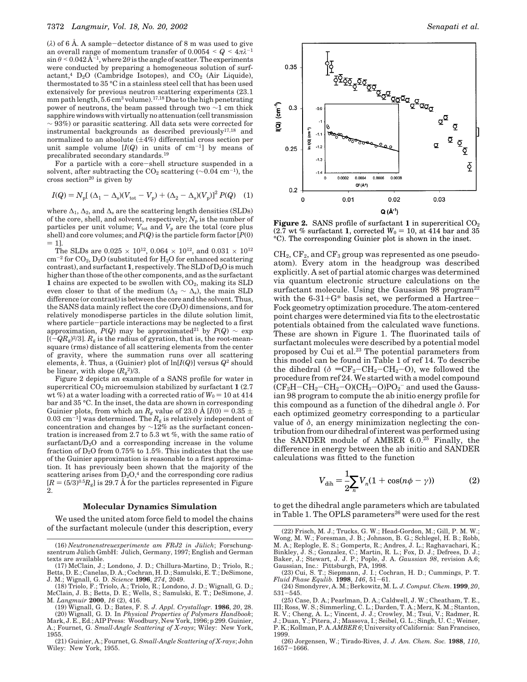$(\lambda)$  of 6 Å. A sample-detector distance of 8 m was used to give an overall range of momentum transfer of  $0.0054 < Q < 4\pi\lambda^{-1}$  $\sin\theta \le 0.042 \text{\AA}^{-1}$ , where  $2\theta$  is the angle of scatter. The experiments were conducted by preparing a homogeneous solution of surfactant,<sup>4</sup>  $D_2O$  (Cambridge Isotopes), and  $CO_2$  (Air Liquide), thermostated to 35 °C in a stainless steel cell that has been used extensively for previous neutron scattering experiments (23.1 mm path length, 5.6 cm<sup>3</sup> volume).17,18Due to the high penetrating power of neutrons, the beam passed through two ∼1 cm thick sapphire windowswith virtuallyno attenuation (cell transmission  $\sim$  93%) or parasitic scattering. All data sets were corrected for instrumental backgrounds as described previously17,18 and normalized to an absolute  $(\pm 4\%)$  differential cross section per unit sample volume  $[I(Q)$  in units of cm<sup>-1</sup>] by means of precalibrated secondary standards.<sup>19</sup>

For a particle with a core-shell structure suspended in a solvent, after subtracting the CO<sub>2</sub> scattering (~0.04 cm<sup>-1</sup>), the cross section<sup>20</sup> is given by

$$
I(Q) = N_{\rm p}[(\Delta_1 - \Delta_{\rm s})(V_{\rm tot} - V_{\rm p}) + (\Delta_2 - \Delta_{\rm s})(V_{\rm p})]^2 P(Q) \quad (1)
$$

where  $\Delta_1$ ,  $\Delta_2$ , and  $\Delta_s$  are the scattering length densities (SLDs) of the core, shell, and solvent, respectively;  $N_p$  is the number of particles per unit volume;  $V_{\text{tot}}$  and  $V_{\text{p}}$  are the total (core plus shell) and core volumes; and *P*(*Q*) is the particle form factor [*P*(0)  $= 1$ ].

The SLDs are 0.025  $\times$   $10^{12}\!,$   $0.064$   $\times$   $10^{12}\!,$  and  $0.031$   $\times$   $10^{12}\!$  $\text{cm}^{-2}$  for  $\text{CO}_2$ ,  $\text{D}_2\text{O}$  (substituted for  $\text{H}_2\text{O}$  for enhanced scattering contrast), and surfactant **1**, respectively. The SLD of  $D_2O$  is much higher than those of the other components, and as the surfactant **1** chains are expected to be swollen with  $CO<sub>2</sub>$ , making its SLD even closer to that of the medium ( $\Delta_2 \sim \Delta_s$ ), the main SLD difference (or contrast) is between the core and the solvent. Thus, the SANS data mainly reflect the core  $(D_2O)$  dimensions, and for relatively monodisperse particles in the dilute solution limit, where particle-particle interactions may be neglected to a first approximation,  $P(Q)$  may be approximated<sup>21</sup> by  $P(Q) \sim \exp$  $[(-\hat{Q}R_{g})^{2}/3]$ .  $R_{g}$  is the radius of gyration, that is, the root-meansquare (rms) distance of all scattering elements from the center of gravity, where the summation runs over all scattering elements, *k*. Thus, a (Guinier) plot of ln[*I*(*Q*)] versus *Q*<sup>2</sup> should be linear, with slope  $(R_g^2)/3$ .

Figure 2 depicts an example of a SANS profile for water in supercritical CO<sup>2</sup> microemulsion stabilized by surfactant **1** (2.7 wt %) at a water loading with a corrected ratio of  $W_0 = 10$  at 414 bar and 35 °C. In the inset, the data are shown in corresponding Guinier plots, from which an  $R_g$  value of 23.0 Å [ $I(0) = 0.35 \pm 0.35$ ] 0.03 cm<sup>-1</sup>] was determined. The  $R_{g}$  is relatively independent of concentration and changes by  $\sim$ 12% as the surfactant concentration is increased from 2.7 to 5.3 wt %, with the same ratio of surfactant/ $D_2O$  and a corresponding increase in the volume fraction of  $D_2O$  from 0.75% to 1.5%. This indicates that the use of the Guinier approximation is reasonable to a first approximation. It has previously been shown that the majority of the scattering arises from  $D_2O<sub>1</sub><sup>4</sup>$  and the corresponding core radius  $[R = (5/3)^{0.5}R_g]$  is 29.7 Å for the particles represented in Figure 2.

### **Molecular Dynamics Simulation**

We used the united atom force field to model the chains of the surfactant molecule (under this description, every



**Figure 2.** SANS profile of surfactant **1** in supercritical  $CO<sub>2</sub>$  $(2.7 \text{ wt } %)$  surfactant **1**, corrected  $W_0 = 10$ , at 414 bar and 35 °C). The corresponding Guinier plot is shown in the inset.

 $CH<sub>2</sub>, CF<sub>2</sub>, and CF<sub>3</sub> group was represented as one pseudo$ atom). Every atom in the headgroup was described explicitly. A set of partial atomic charges was determined via quantum electronic structure calculations on the surfactant molecule. Using the Gaussian 98 program<sup>22</sup> with the  $6-31+G^*$  basis set, we performed a Hartree-Fock geometry optimization procedure. The atom-centered point charges were determined via fits to the electrostatic potentials obtained from the calculated wave functions. These are shown in Figure 1. The fluorinated tails of surfactant molecules were described by a potential model proposed by Cui et al.<sup>23</sup> The potential parameters from this model can be found in Table 1 of ref 14. To describe the dihedral ( $\delta = CF_2-CH_2-CH_2-O$ ), we followed the procedure from ref 24. We started with a model compound  $\rm (CF_2H-CH_2-CH_2-O)CH_3-O)PO_2^-$  and used the Gaussian 98 program to compute the ab initio energy profile for this compound as a function of the dihedral angle  $\delta$ . For each optimized geometry corresponding to a particular value of  $\delta$ , an energy minimization neglecting the contribution from our dihedral of interest was performed using the SANDER module of AMBER 6.0.<sup>25</sup> Finally, the difference in energy between the ab initio and SANDER calculations was fitted to the function

$$
V_{\text{dih}} = \frac{1}{2} \sum_{n} V_n (1 + \cos(n\phi - \gamma))
$$
 (2)

to get the dihedral angle parameters which are tabulated in Table 1. The OPLS parameters<sup>26</sup> were used for the rest

<sup>(16)</sup> Neutronenstreuexperimente am FRJ2 in Jülich; Forschungszentrum Jülich GmbH: Jülich, Germany, 1997; English and German texts are available.

<sup>(17)</sup> McClain, J.; Londono, J. D.; Chillura-Martino, D.; Triolo, R.; Betts, D. E.; Canelas, D. A.; Cochran, H. D.; Samulski, E. T.; DeSimone, J. M.; Wignall, G. D. *Science* **1996**, *274*, 2049.

<sup>(18)</sup> Triolo, F.; Triolo, A.; Triolo, R.; Londono, J. D.; Wignall, G. D.; McClain, J. B.; Betts, D. E.; Wells, S.; Samulski, E. T.; DeSimone, J. M. *Langmuir* **2000**, *16* (2), 416.

<sup>(19)</sup> Wignall, G. D.; Bates, F. S. *J. Appl. Crystallogr.* **1986**, *20*, 28.

<sup>(20)</sup> Wignall, G. D. In *Physical Properties of Polymers Handbook*; Mark, J. E., Ed.; AIP Press: Woodbury, New York, 1996; p 299. Guinier, A.; Fournet, G. *Small-Angle Scattering of X-rays*; Wiley: New York,

<sup>(22)</sup> Frisch, M. J.; Trucks, G. W.; Head-Gordon, M.; Gill, P. M. W.; Wong, M. W.; Foresman, J. B.; Johnson, B. G.; Schlegel, H. B.; Robb, M. A.; Replogle, E. S.; Gomperts, R.; Andres, J. L.; Raghavachari, K.; Binkley, J. S.; Gonzalez, C.; Martin, R. L.; Fox, D. J.; Defrees, D. J.; Baker, J.; Stewart, J. J. P.; Pople, J. A. *Gaussian 98*, revision A.6; Gaussian, Inc.: Pittsburgh, PA, 1998.

<sup>(23)</sup> Cui, S. T.; Siepmann, J. I.; Cochran, H. D.; Cummings, P. T. *Fluid Phase Equlib.* **1998**, *146*, 51-61.

<sup>(24)</sup> Smondyrev, A. M.; Berkowitz, M. L. *J. Comput. Chem*. **1999**, *20*, 531-545.

<sup>(25)</sup> Case, D. A.; Pearlman, D. A.; Caldwell, J. W.; Cheatham, T. E., III; Ross, W. S.; Simmerling, C. L.; Darden, T. A.; Merz, K. M.; Stanton,

R. V.; Cheng, A. L.; Vincent, J. J.; Crowley, M.; Tsui, V.; Radmer, R. J.; Duan, Y.; Pitera, J.; Massova, I.; Seibel, G. L.; Singh, U. C.; Weiner,

P. K.; Kollman, P. A. *AMBER 6*; University of California: San Francisco, 1999.

<sup>(26)</sup> Jorgensen, W.; Tirado-Rives, J. *J. Am. Chem. Soc.* **1988**, *110*, 1657-1666.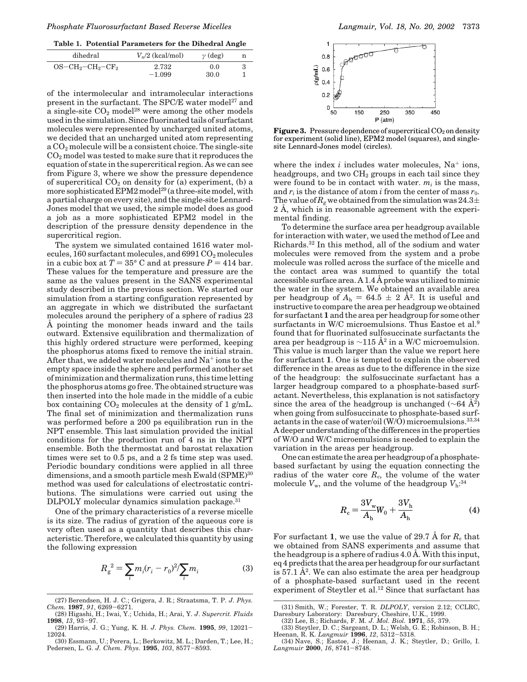**Table 1. Potential Parameters for the Dihedral Angle**

| dihedral            | $V_n/2$ (kcal/mol) | $\gamma$ (deg) | n |
|---------------------|--------------------|----------------|---|
| $OS-CH_2-CH_2-CF_2$ | 2.732<br>$-1.099$  | 0.0<br>30.0    |   |

of the intermolecular and intramolecular interactions present in the surfactant. The SPC/E water model<sup>27</sup> and a single-site  $CO<sub>2</sub>$  model<sup>28</sup> were among the other models used in the simulation. Since fluorinated tails of surfactant molecules were represented by uncharged united atoms, we decided that an uncharged united atom representing a CO<sub>2</sub> molecule will be a consistent choice. The single-site  $CO<sub>2</sub>$  model was tested to make sure that it reproduces the equation of state in the supercritical region. As we can see from Figure 3, where we show the pressure dependence of supercritical  $CO<sub>2</sub>$  on density for (a) experiment, (b) a more sophisticated EPM2 model<sup>29</sup> (a three-site model, with a partial charge on every site), and the single-site Lennard-Jones model that we used, the simple model does as good a job as a more sophisticated EPM2 model in the description of the pressure density dependence in the supercritical region.

The system we simulated contained 1616 water molecules,  $160$  surfactant molecules, and  $6991$   $CO<sub>2</sub>$  molecules in a cubic box at  $T = 35^{\circ}$  C and at pressure  $P = 414$  bar. These values for the temperature and pressure are the same as the values present in the SANS experimental study described in the previous section. We started our simulation from a starting configuration represented by an aggregate in which we distributed the surfactant molecules around the periphery of a sphere of radius 23 Å pointing the monomer heads inward and the tails outward. Extensive equilibration and thermalization of this highly ordered structure were performed, keeping the phosphorus atoms fixed to remove the initial strain. After that, we added water molecules and Na<sup>+</sup> ions to the empty space inside the sphere and performed another set of minimization and thermalization runs, this time letting the phosphorus atoms go free. The obtained structure was then inserted into the hole made in the middle of a cubic box containing  $CO_2$  molecules at the density of 1 g/mL. The final set of minimization and thermalization runs was performed before a 200 ps equilibration run in the NPT ensemble. This last simulation provided the initial conditions for the production run of 4 ns in the NPT ensemble. Both the thermostat and barostat relaxation times were set to 0.5 ps, and a 2 fs time step was used. Periodic boundary conditions were applied in all three dimensions, and a smooth particle mesh Ewald (SPME)<sup>30</sup> method was used for calculations of electrostatic contributions. The simulations were carried out using the DLPOLY molecular dynamics simulation package.<sup>31</sup>

One of the primary characteristics of a reverse micelle is its size. The radius of gyration of the aqueous core is very often used as a quantity that describes this characteristic. Therefore, we calculated this quantity by using the following expression

$$
R_g^{2} = \sum_i m_i (r_i - r_0)^2 / \sum_i m_i
$$
 (3)



**Figure 3.** Pressure dependence of supercritical  $CO<sub>2</sub>$  on density for experiment (solid line), EPM2 model (squares), and singlesite Lennard-Jones model (circles).

where the index  $i$  includes water molecules,  $Na<sup>+</sup>$  ions, headgroups, and two  $CH<sub>2</sub>$  groups in each tail since they were found to be in contact with water.  $m_i$  is the mass, and  $r_i$  is the distance of atom *i* from the center of mass  $r_0$ . The value of  $R_g$  we obtained from the simulation was 24.3 $\pm$ 2 Å, which is in reasonable agreement with the experimental finding.

To determine the surface area per headgroup available for interaction with water, we used the method of Lee and Richards.<sup>32</sup> In this method, all of the sodium and water molecules were removed from the system and a probe molecule was rolled across the surface of the micelle and the contact area was summed to quantify the total accessible surface area. A 1.4 Å probe was utilized to mimic the water in the system. We obtained an available area per headgroup of  $A_h = 64.5 \pm 2 \text{ Å}^2$ . It is useful and instructive to compare the area per headgroup we obtained for surfactant **1** and the area per headgroup for some other surfactants in W/C microemulsions. Thus Eastoe et al.<sup>9</sup> found that for fluorinated sulfosuccinate surfactants the area per headgroup is  $\sim$ 115 Å<sup>2</sup> in a W/C microemulsion. This value is much larger than the value we report here for surfactant **1**. One is tempted to explain the observed difference in the areas as due to the difference in the size of the headgroup: the sulfosuccinate surfactant has a larger headgroup compared to a phosphate-based surfactant. Nevertheless, this explanation is not satisfactory since the area of the headgroup is unchanged ( $\sim$ 64 Å<sup>2</sup>) when going from sulfosuccinate to phosphate-based surfactants in the case of water/oil (W/O) microemulsions.33,34 A deeper understanding of the differences in the properties of W/O and W/C microemulsions is needed to explain the variation in the areas per headgroup.

One can estimate the area per headgroup of a phosphatebased surfactant by using the equation connecting the radius of the water core  $R_c$ , the volume of the water molecule  $V_{\rm w}$ , and the volume of the headgroup  $V_{\rm h}$ <sup>34</sup>

$$
R_{\rm c} = \frac{3V_{\rm w}}{A_{\rm h}} W_0 + \frac{3V_{\rm h}}{A_{\rm h}}
$$
 (4)

For surfactant **1**, we use the value of 29.7 Å for  $R_c$  that we obtained from SANS experiments and assume that the headgroup is a sphere of radius 4.0 Å. With this input, eq 4 predicts that the area per headgroup for our surfactant is  $57.1 \text{ Å}^2$ . We can also estimate the area per headgroup of a phosphate-based surfactant used in the recent experiment of Steytler et al.<sup>12</sup> Since that surfactant has

<sup>(27)</sup> Berendsen, H. J. C.; Grigera, J. R.; Straatsma, T. P. *J. Phys. Chem.* **1987**, *91*, 6269-6271.

<sup>(28)</sup> Higashi, H.; Iwai, Y.; Uchida, H.; Arai, Y. *J*. *Supercrit. Fluids* **1998**, *13*, 93-97.

<sup>(29)</sup> Harris, J. G.; Yung, K. H. *J. Phys. Chem.* **1995**, *99*, 12021- 12024.

<sup>(30)</sup> Essmann, U.; Perera, L.; Berkowitz, M. L.; Darden, T.; Lee, H.; Pedersen, L. G. *J. Chem. Phys*. **1995**, *103*, 8577-8593.

<sup>(31)</sup> Smith, W.; Forester, T. R. *DLPOLY*, version 2.12; CCLRC, Daresbury Laboratory: Daresbury, Cheshire, U.K., 1999. (32) Lee, B.; Richards, F. M. *J. Mol. Biol.* **1971**, *55*, 379.

<sup>(33)</sup> Steytler, D. C.; Sargeant, D. L.; Welsh, G. E.; Robinson, B. H.;

Heenan, R. K. *Langmuir* **1996**, *12*, 5312-5318. (34) Nave, S.; Eastoe, J.; Heenan, J. K.; Steytler, D.; Grillo, I. *Langmuir* **2000**, *16*, 8741-8748.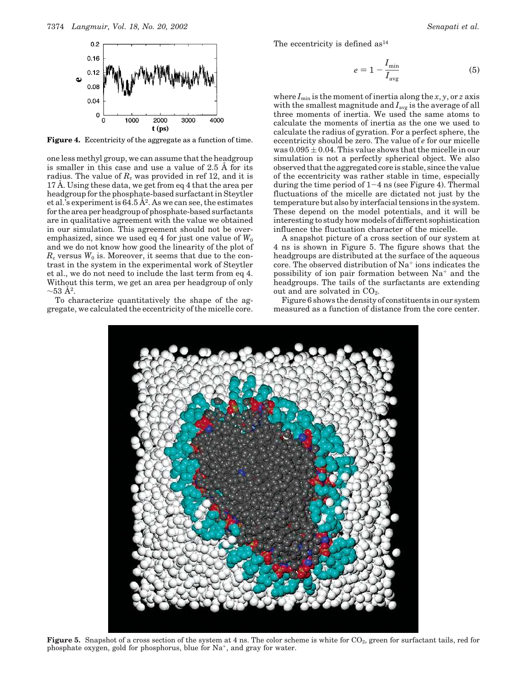

**Figure 4.** Eccentricity of the aggregate as a function of time.

one less methyl group, we can assume that the headgroup is smaller in this case and use a value of 2.5 Å for its radius. The value of  $R_c$  was provided in ref 12, and it is 17 Å. Using these data, we get from eq 4 that the area per headgroup for the phosphate-based surfactant in Steytler et al.'s experiment is  $64.5 \, \AA^2$ . As we can see, the estimates for the area per headgroup of phosphate-based surfactants are in qualitative agreement with the value we obtained in our simulation. This agreement should not be overemphasized, since we used eq 4 for just one value of  $W_0$ and we do not know how good the linearity of the plot of  $R_c$  versus  $W_0$  is. Moreover, it seems that due to the contrast in the system in the experimental work of Steytler et al., we do not need to include the last term from eq 4. Without this term, we get an area per headgroup of only  $\sim\!\!53$   $\rm \AA^2$ .

To characterize quantitatively the shape of the aggregate, we calculated the eccentricity of the micelle core. The eccentricity is defined  $as<sup>14</sup>$ 

$$
e = 1 - \frac{I_{\min}}{I_{\text{avg}}}
$$
\n<sup>(5)</sup>

where  $I_{\min}$  is the moment of inertia along the *x*, *y*, or *z* axis with the smallest magnitude and  $I_{\text{avg}}$  is the average of all three moments of inertia. We used the same atoms to calculate the moments of inertia as the one we used to calculate the radius of gyration. For a perfect sphere, the eccentricity should be zero. The value of *e* for our micelle was  $0.095 \pm 0.04$ . This value shows that the micelle in our simulation is not a perfectly spherical object. We also observed that the aggregated core is stable, since the value of the eccentricity was rather stable in time, especially during the time period of  $1-4$  ns (see Figure 4). Thermal fluctuations of the micelle are dictated not just by the temperature but also by interfacial tensions in the system. These depend on the model potentials, and it will be interesting to study how models of different sophistication influence the fluctuation character of the micelle.

A snapshot picture of a cross section of our system at 4 ns is shown in Figure 5. The figure shows that the headgroups are distributed at the surface of the aqueous core. The observed distribution of  $Na<sup>+</sup>$  ions indicates the possibility of ion pair formation between  $Na<sup>+</sup>$  and the headgroups. The tails of the surfactants are extending out and are solvated in  $CO<sub>2</sub>$ .

Figure 6 shows the density of constituents in our system measured as a function of distance from the core center.



**Figure 5.** Snapshot of a cross section of the system at 4 ns. The color scheme is white for CO<sub>2</sub>, green for surfactant tails, red for phosphate oxygen, gold for phosphorus, blue for  $Na^+$ , and gray for water.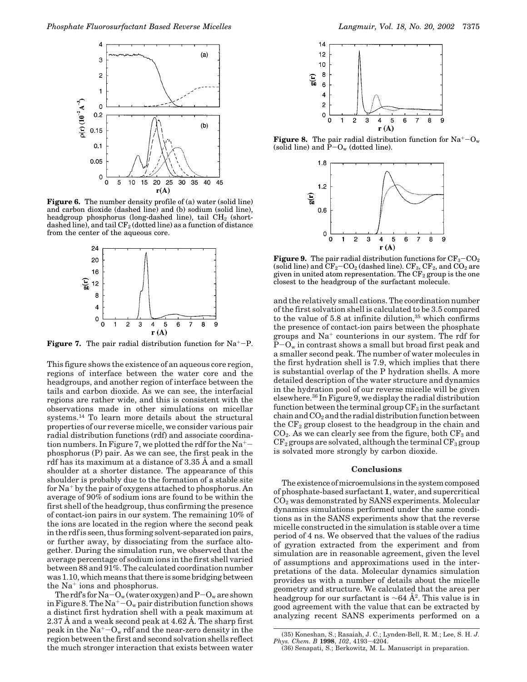

**Figure 6.** The number density profile of (a) water (solid line) and carbon dioxide (dashed line) and (b) sodium (solid line), headgroup phosphorus (long-dashed line), tail  $CH<sub>2</sub>$  (shortdashed line), and tail  $CF_2$  (dotted line) as a function of distance from the center of the aqueous core.



**Figure 7.** The pair radial distribution function for  $Na^+$ -P.

This figure shows the existence of an aqueous core region, regions of interface between the water core and the headgroups, and another region of interface between the tails and carbon dioxide. As we can see, the interfacial regions are rather wide, and this is consistent with the observations made in other simulations on micellar systems.<sup>14</sup> To learn more details about the structural properties of our reverse micelle, we consider various pair radial distribution functions (rdf) and associate coordination numbers. In Figure 7, we plotted the rdf for the  $Na^+$ phosphorus (P) pair. As we can see, the first peak in the rdf has its maximum at a distance of 3.35 Å and a small shoulder at a shorter distance. The appearance of this shoulder is probably due to the formation of a stable site for Na<sup>+</sup> by the pair of oxygens attached to phosphorus. An average of 90% of sodium ions are found to be within the first shell of the headgroup, thus confirming the presence of contact-ion pairs in our system. The remaining 10% of the ions are located in the region where the second peak in the rdf is seen, thus forming solvent-separated ion pairs, or further away, by dissociating from the surface altogether. During the simulation run, we observed that the average percentage of sodium ions in the first shell varied between 88 and 91%. The calculated coordination number was 1.10, which means that there is some bridging between the Na<sup>+</sup> ions and phosphorus.

The rdf's for  $Na-O_w$  (water oxygen) and  $P-O_w$  are shown in Figure 8. The  $Na^+$ - $O_w$  pair distribution function shows a distinct first hydration shell with a peak maximum at 2.37 Å and a weak second peak at 4.62 Å. The sharp first peak in the  $Na^+$ - $O_w$  rdf and the near-zero density in the region between the first and second solvation shells reflect the much stronger interaction that exists between water



**Figure 8.** The pair radial distribution function for  $Na^+ - O_w$ (solid line) and  $\bar{P}-O_w$  (dotted line).



**Figure 9.** The pair radial distribution functions for  $CF_3-CO_2$ (solid line) and  $CF_2-CO_2$  (dashed line).  $CF_3$ ,  $CF_2$ , and  $CO_2$  are given in united atom representation. The  $CF_2$  group is the one closest to the headgroup of the surfactant molecule.

and the relatively small cations. The coordination number of the first solvation shell is calculated to be 3.5 compared to the value of  $5.8$  at infinite dilution, $35$  which confirms the presence of contact-ion pairs between the phosphate groups and Na<sup>+</sup> counterions in our system. The rdf for  $P-O_w$  in contrast shows a small but broad first peak and a smaller second peak. The number of water molecules in the first hydration shell is 7.9, which implies that there is substantial overlap of the P hydration shells. A more detailed description of the water structure and dynamics in the hydration pool of our reverse micelle will be given elsewhere.<sup>36</sup> In Figure 9, we display the radial distribution function between the terminal group  $CF_3$  in the surfactant  $chain$  and  $CO<sub>2</sub>$  and the radial distribution function between the  $CF<sub>2</sub>$  group closest to the headgroup in the chain and  $CO<sub>2</sub>$ . As we can clearly see from the figure, both  $CF<sub>3</sub>$  and  $CF<sub>2</sub>$  groups are solvated, although the terminal  $CF<sub>3</sub>$  group is solvated more strongly by carbon dioxide.

## **Conclusions**

The existence of microemulsions in the system composed of phosphate-based surfactant **1**, water, and supercritical CO<sup>2</sup> was demonstrated by SANS experiments. Molecular dynamics simulations performed under the same conditions as in the SANS experiments show that the reverse micelle constructed in the simulation is stable over a time period of 4 ns. We observed that the values of the radius of gyration extracted from the experiment and from simulation are in reasonable agreement, given the level of assumptions and approximations used in the interpretations of the data. Molecular dynamics simulation provides us with a number of details about the micelle geometry and structure. We calculated that the area per headgroup for our surfactant is ∼64 Å<sup>2</sup> . This value is in good agreement with the value that can be extracted by analyzing recent SANS experiments performed on a

<sup>(35)</sup> Koneshan, S.; Rasaiah, J. C.; Lynden-Bell, R. M.; Lee, S. H. *J. Phys. Chem. B* **1998**, *102*, 4193-4204.

<sup>(36)</sup> Senapati, S.; Berkowitz, M. L. Manuscript in preparation.